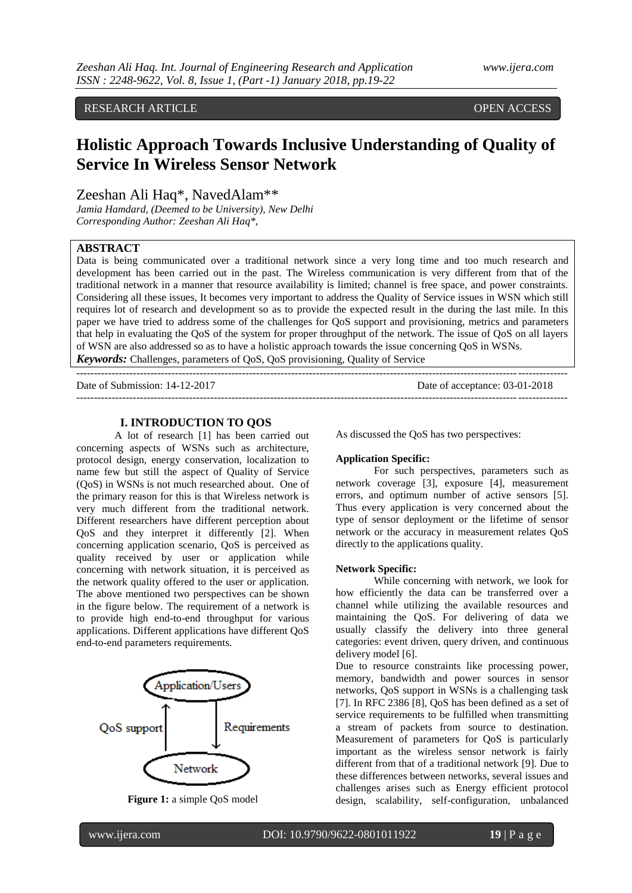# RESEARCH ARTICLE **CONSERVERS** OPEN ACCESS

# **Holistic Approach Towards Inclusive Understanding of Quality of Service In Wireless Sensor Network**

Zeeshan Ali Haq\*, NavedAlam\*\*

*Jamia Hamdard, (Deemed to be University), New Delhi Corresponding Author: Zeeshan Ali Haq\*,*

## **ABSTRACT**

Data is being communicated over a traditional network since a very long time and too much research and development has been carried out in the past. The Wireless communication is very different from that of the traditional network in a manner that resource availability is limited; channel is free space, and power constraints. Considering all these issues, It becomes very important to address the Quality of Service issues in WSN which still requires lot of research and development so as to provide the expected result in the during the last mile. In this paper we have tried to address some of the challenges for QoS support and provisioning, metrics and parameters that help in evaluating the QoS of the system for proper throughput of the network. The issue of QoS on all layers of WSN are also addressed so as to have a holistic approach towards the issue concerning QoS in WSNs.

*Keywords:* Challenges, parameters of QoS, QoS provisioning, Quality of Service

Date of Submission: 14-12-2017 Date of acceptance: 03-01-2018

-------------------------------------------------------------------------------------------------------------------------------------------

## **I. INTRODUCTION TO QOS**

 $-1.1$ 

A lot of research [1] has been carried out concerning aspects of WSNs such as architecture, protocol design, energy conservation, localization to name few but still the aspect of Quality of Service (QoS) in WSNs is not much researched about. One of the primary reason for this is that Wireless network is very much different from the traditional network. Different researchers have different perception about QoS and they interpret it differently [2]. When concerning application scenario, QoS is perceived as quality received by user or application while concerning with network situation, it is perceived as the network quality offered to the user or application. The above mentioned two perspectives can be shown in the figure below. The requirement of a network is to provide high end-to-end throughput for various applications. Different applications have different QoS end-to-end parameters requirements.



**Figure 1:** a simple QoS model

As discussed the QoS has two perspectives:

## **Application Specific:**

For such perspectives, parameters such as network coverage [3], exposure [4], measurement errors, and optimum number of active sensors [5]. Thus every application is very concerned about the type of sensor deployment or the lifetime of sensor network or the accuracy in measurement relates QoS directly to the applications quality.

#### **Network Specific:**

While concerning with network, we look for how efficiently the data can be transferred over a channel while utilizing the available resources and maintaining the QoS. For delivering of data we usually classify the delivery into three general categories: event driven, query driven, and continuous delivery model [6].

Due to resource constraints like processing power, memory, bandwidth and power sources in sensor networks, QoS support in WSNs is a challenging task [7]. In RFC 2386 [8], QoS has been defined as a set of service requirements to be fulfilled when transmitting a stream of packets from source to destination. Measurement of parameters for QoS is particularly important as the wireless sensor network is fairly different from that of a traditional network [9]. Due to these differences between networks, several issues and challenges arises such as Energy efficient protocol design, scalability, self-configuration, unbalanced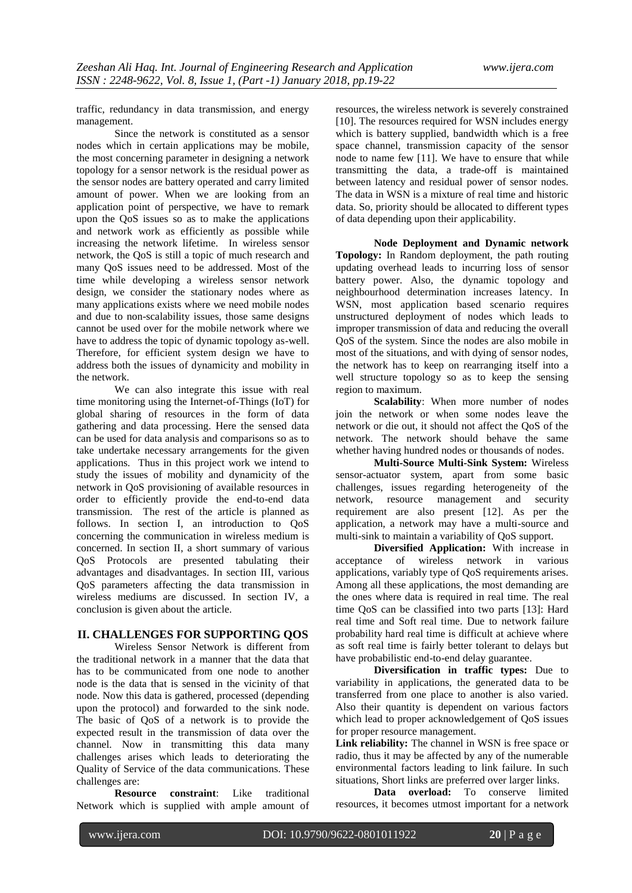traffic, redundancy in data transmission, and energy management.

Since the network is constituted as a sensor nodes which in certain applications may be mobile, the most concerning parameter in designing a network topology for a sensor network is the residual power as the sensor nodes are battery operated and carry limited amount of power. When we are looking from an application point of perspective, we have to remark upon the QoS issues so as to make the applications and network work as efficiently as possible while increasing the network lifetime. In wireless sensor network, the QoS is still a topic of much research and many QoS issues need to be addressed. Most of the time while developing a wireless sensor network design, we consider the stationary nodes where as many applications exists where we need mobile nodes and due to non-scalability issues, those same designs cannot be used over for the mobile network where we have to address the topic of dynamic topology as-well. Therefore, for efficient system design we have to address both the issues of dynamicity and mobility in the network.

We can also integrate this issue with real time monitoring using the Internet-of-Things (IoT) for global sharing of resources in the form of data gathering and data processing. Here the sensed data can be used for data analysis and comparisons so as to take undertake necessary arrangements for the given applications. Thus in this project work we intend to study the issues of mobility and dynamicity of the network in QoS provisioning of available resources in order to efficiently provide the end-to-end data transmission. The rest of the article is planned as follows. In section I, an introduction to QoS concerning the communication in wireless medium is concerned. In section II, a short summary of various QoS Protocols are presented tabulating their advantages and disadvantages. In section III, various QoS parameters affecting the data transmission in wireless mediums are discussed. In section IV, a conclusion is given about the article.

## **II. CHALLENGES FOR SUPPORTING QOS**

Wireless Sensor Network is different from the traditional network in a manner that the data that has to be communicated from one node to another node is the data that is sensed in the vicinity of that node. Now this data is gathered, processed (depending upon the protocol) and forwarded to the sink node. The basic of QoS of a network is to provide the expected result in the transmission of data over the channel. Now in transmitting this data many challenges arises which leads to deteriorating the Quality of Service of the data communications. These challenges are:

**Resource constraint**: Like traditional Network which is supplied with ample amount of resources, the wireless network is severely constrained [10]. The resources required for WSN includes energy which is battery supplied, bandwidth which is a free space channel, transmission capacity of the sensor node to name few [11]. We have to ensure that while transmitting the data, a trade-off is maintained between latency and residual power of sensor nodes. The data in WSN is a mixture of real time and historic data. So, priority should be allocated to different types of data depending upon their applicability.

**Node Deployment and Dynamic network Topology:** In Random deployment, the path routing updating overhead leads to incurring loss of sensor battery power. Also, the dynamic topology and neighbourhood determination increases latency. In WSN, most application based scenario requires unstructured deployment of nodes which leads to improper transmission of data and reducing the overall QoS of the system. Since the nodes are also mobile in most of the situations, and with dying of sensor nodes, the network has to keep on rearranging itself into a well structure topology so as to keep the sensing region to maximum.

**Scalability**: When more number of nodes join the network or when some nodes leave the network or die out, it should not affect the QoS of the network. The network should behave the same whether having hundred nodes or thousands of nodes.

**Multi-Source Multi-Sink System:** Wireless sensor-actuator system, apart from some basic challenges, issues regarding heterogeneity of the network, resource management and security requirement are also present [12]. As per the application, a network may have a multi-source and multi-sink to maintain a variability of QoS support.

**Diversified Application:** With increase in acceptance of wireless network in various applications, variably type of QoS requirements arises. Among all these applications, the most demanding are the ones where data is required in real time. The real time QoS can be classified into two parts [13]: Hard real time and Soft real time. Due to network failure probability hard real time is difficult at achieve where as soft real time is fairly better tolerant to delays but have probabilistic end-to-end delay guarantee.

**Diversification in traffic types:** Due to variability in applications, the generated data to be transferred from one place to another is also varied. Also their quantity is dependent on various factors which lead to proper acknowledgement of QoS issues for proper resource management.

Link reliability: The channel in WSN is free space or radio, thus it may be affected by any of the numerable environmental factors leading to link failure. In such situations, Short links are preferred over larger links.

**Data overload:** To conserve limited resources, it becomes utmost important for a network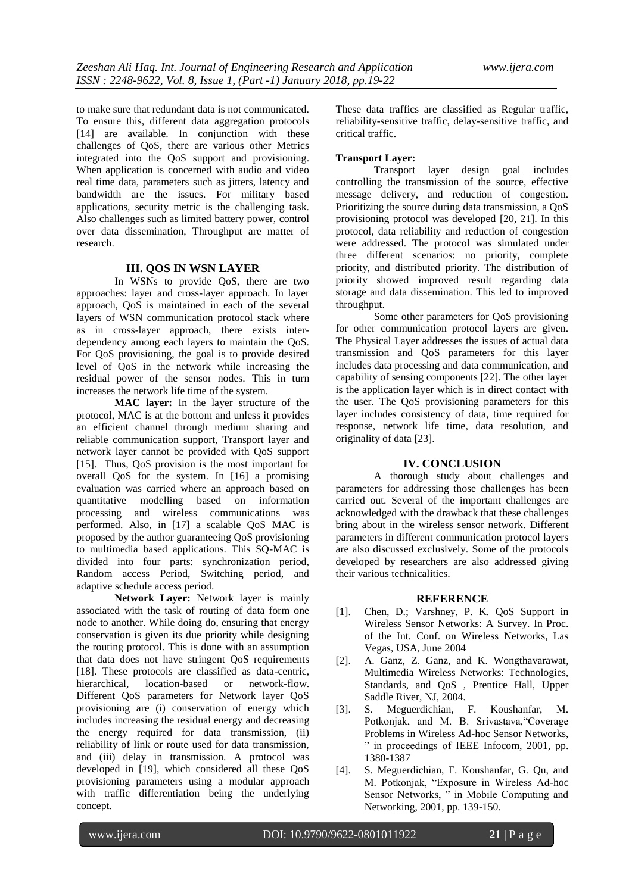to make sure that redundant data is not communicated. To ensure this, different data aggregation protocols [14] are available. In conjunction with these challenges of QoS, there are various other Metrics integrated into the QoS support and provisioning. When application is concerned with audio and video real time data, parameters such as jitters, latency and bandwidth are the issues. For military based applications, security metric is the challenging task. Also challenges such as limited battery power, control over data dissemination, Throughput are matter of research.

#### **III. QOS IN WSN LAYER**

In WSNs to provide QoS, there are two approaches: layer and cross-layer approach. In layer approach, QoS is maintained in each of the several layers of WSN communication protocol stack where as in cross-layer approach, there exists interdependency among each layers to maintain the QoS. For QoS provisioning, the goal is to provide desired level of QoS in the network while increasing the residual power of the sensor nodes. This in turn increases the network life time of the system.

**MAC layer:** In the layer structure of the protocol, MAC is at the bottom and unless it provides an efficient channel through medium sharing and reliable communication support, Transport layer and network layer cannot be provided with QoS support [15]. Thus, QoS provision is the most important for overall QoS for the system. In [16] a promising evaluation was carried where an approach based on quantitative modelling based on information processing and wireless communications was performed. Also, in [17] a scalable QoS MAC is proposed by the author guaranteeing QoS provisioning to multimedia based applications. This SQ-MAC is divided into four parts: synchronization period, Random access Period, Switching period, and adaptive schedule access period.

**Network Layer:** Network layer is mainly associated with the task of routing of data form one node to another. While doing do, ensuring that energy conservation is given its due priority while designing the routing protocol. This is done with an assumption that data does not have stringent QoS requirements [18]. These protocols are classified as data-centric, hierarchical, location-based or network-flow. Different QoS parameters for Network layer QoS provisioning are (i) conservation of energy which includes increasing the residual energy and decreasing the energy required for data transmission, (ii) reliability of link or route used for data transmission, and (iii) delay in transmission. A protocol was developed in [19], which considered all these QoS provisioning parameters using a modular approach with traffic differentiation being the underlying concept.

These data traffics are classified as Regular traffic, reliability-sensitive traffic, delay-sensitive traffic, and critical traffic.

#### **Transport Layer:**

Transport layer design goal includes controlling the transmission of the source, effective message delivery, and reduction of congestion. Prioritizing the source during data transmission, a QoS provisioning protocol was developed [20, 21]. In this protocol, data reliability and reduction of congestion were addressed. The protocol was simulated under three different scenarios: no priority, complete priority, and distributed priority. The distribution of priority showed improved result regarding data storage and data dissemination. This led to improved throughput.

Some other parameters for QoS provisioning for other communication protocol layers are given. The Physical Layer addresses the issues of actual data transmission and QoS parameters for this layer includes data processing and data communication, and capability of sensing components [22]. The other layer is the application layer which is in direct contact with the user. The QoS provisioning parameters for this layer includes consistency of data, time required for response, network life time, data resolution, and originality of data [23].

#### **IV. CONCLUSION**

A thorough study about challenges and parameters for addressing those challenges has been carried out. Several of the important challenges are acknowledged with the drawback that these challenges bring about in the wireless sensor network. Different parameters in different communication protocol layers are also discussed exclusively. Some of the protocols developed by researchers are also addressed giving their various technicalities.

#### **REFERENCE**

- [1]. Chen, D.; Varshney, P. K. QoS Support in Wireless Sensor Networks: A Survey. In Proc. of the Int. Conf. on Wireless Networks, Las Vegas, USA, June 2004
- [2]. A. Ganz, Z. Ganz, and K. Wongthavarawat, Multimedia Wireless Networks: Technologies, Standards, and QoS , Prentice Hall, Upper Saddle River, NJ, 2004.
- [3]. S. Meguerdichian, F. Koushanfar, M. Potkonjak, and M. B. Srivastava,"Coverage Problems in Wireless Ad-hoc Sensor Networks, " in proceedings of IEEE Infocom, 2001, pp. 1380-1387
- [4]. S. Meguerdichian, F. Koushanfar, G. Qu, and M. Potkonjak, "Exposure in Wireless Ad-hoc Sensor Networks, " in Mobile Computing and Networking, 2001, pp. 139-150.